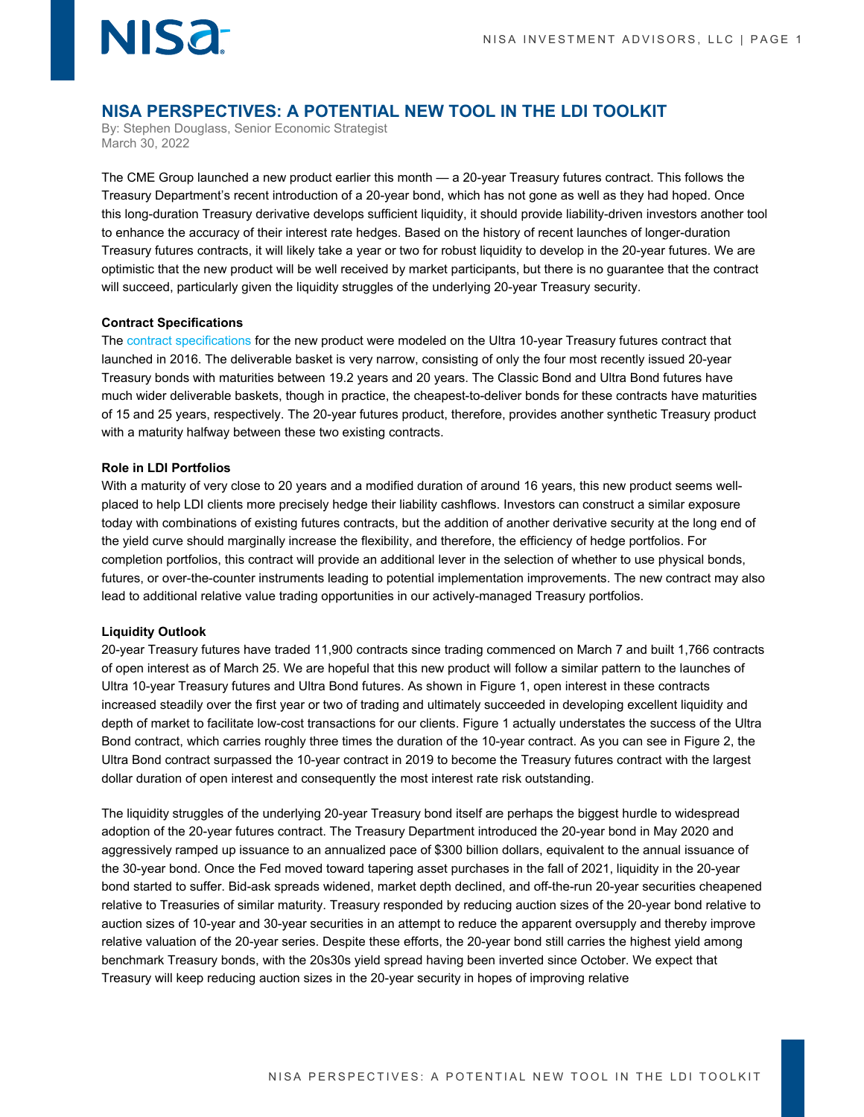### **NISA PERSPECTIVES: A POTENTIAL NEW TOOL IN THE LDI TOOLKIT**

By: Stephen Douglass, Senior Economic Strategist March 30, 2022

The CME Group launched a new product earlier this month — a 20-year Treasury futures contract. This follows the Treasury Department's recent introduction of a 20-year bond, which has not gone as well as they had hoped. Once this long-duration Treasury derivative develops sufficient liquidity, it should provide liability-driven investors another tool to enhance the accuracy of their interest rate hedges. Based on the history of recent launches of longer-duration Treasury futures contracts, it will likely take a year or two for robust liquidity to develop in the 20-year futures. We are optimistic that the new product will be well received by market participants, but there is no guarantee that the contract will succeed, particularly given the liquidity struggles of the underlying 20-year Treasury security.

#### **Contract Specifications**

**NISA** 

Th[e contract specifications](https://www.cmegroup.com/markets/interest-rates/us-treasury/20-year-us-treasury-bond.html) for the new product were modeled on the Ultra 10-year Treasury futures contract that launched in 2016. The deliverable basket is very narrow, consisting of only the four most recently issued 20-year Treasury bonds with maturities between 19.2 years and 20 years. The Classic Bond and Ultra Bond futures have much wider deliverable baskets, though in practice, the cheapest-to-deliver bonds for these contracts have maturities of 15 and 25 years, respectively. The 20-year futures product, therefore, provides another synthetic Treasury product with a maturity halfway between these two existing contracts.

#### **Role in LDI Portfolios**

With a maturity of very close to 20 years and a modified duration of around 16 years, this new product seems wellplaced to help LDI clients more precisely hedge their liability cashflows. Investors can construct a similar exposure today with combinations of existing futures contracts, but the addition of another derivative security at the long end of the yield curve should marginally increase the flexibility, and therefore, the efficiency of hedge portfolios. For completion portfolios, this contract will provide an additional lever in the selection of whether to use physical bonds, futures, or over-the-counter instruments leading to potential implementation improvements. The new contract may also lead to additional relative value trading opportunities in our actively-managed Treasury portfolios.

#### **Liquidity Outlook**

20-year Treasury futures have traded 11,900 contracts since trading commenced on March 7 and built 1,766 contracts of open interest as of March 25. We are hopeful that this new product will follow a similar pattern to the launches of Ultra 10-year Treasury futures and Ultra Bond futures. As shown in Figure 1, open interest in these contracts increased steadily over the first year or two of trading and ultimately succeeded in developing excellent liquidity and depth of market to facilitate low-cost transactions for our clients. Figure 1 actually understates the success of the Ultra Bond contract, which carries roughly three times the duration of the 10-year contract. As you can see in Figure 2, the Ultra Bond contract surpassed the 10-year contract in 2019 to become the Treasury futures contract with the largest dollar duration of open interest and consequently the most interest rate risk outstanding.

The liquidity struggles of the underlying 20-year Treasury bond itself are perhaps the biggest hurdle to widespread adoption of the 20-year futures contract. The Treasury Department introduced the 20-year bond in May 2020 and aggressively ramped up issuance to an annualized pace of \$300 billion dollars, equivalent to the annual issuance of the 30-year bond. Once the Fed moved toward tapering asset purchases in the fall of 2021, liquidity in the 20-year bond started to suffer. Bid-ask spreads widened, market depth declined, and off-the-run 20-year securities cheapened relative to Treasuries of similar maturity. Treasury responded by reducing auction sizes of the 20-year bond relative to auction sizes of 10-year and 30-year securities in an attempt to reduce the apparent oversupply and thereby improve relative valuation of the 20-year series. Despite these efforts, the 20-year bond still carries the highest yield among benchmark Treasury bonds, with the 20s30s yield spread having been inverted since October. We expect that Treasury will keep reducing auction sizes in the 20-year security in hopes of improving relative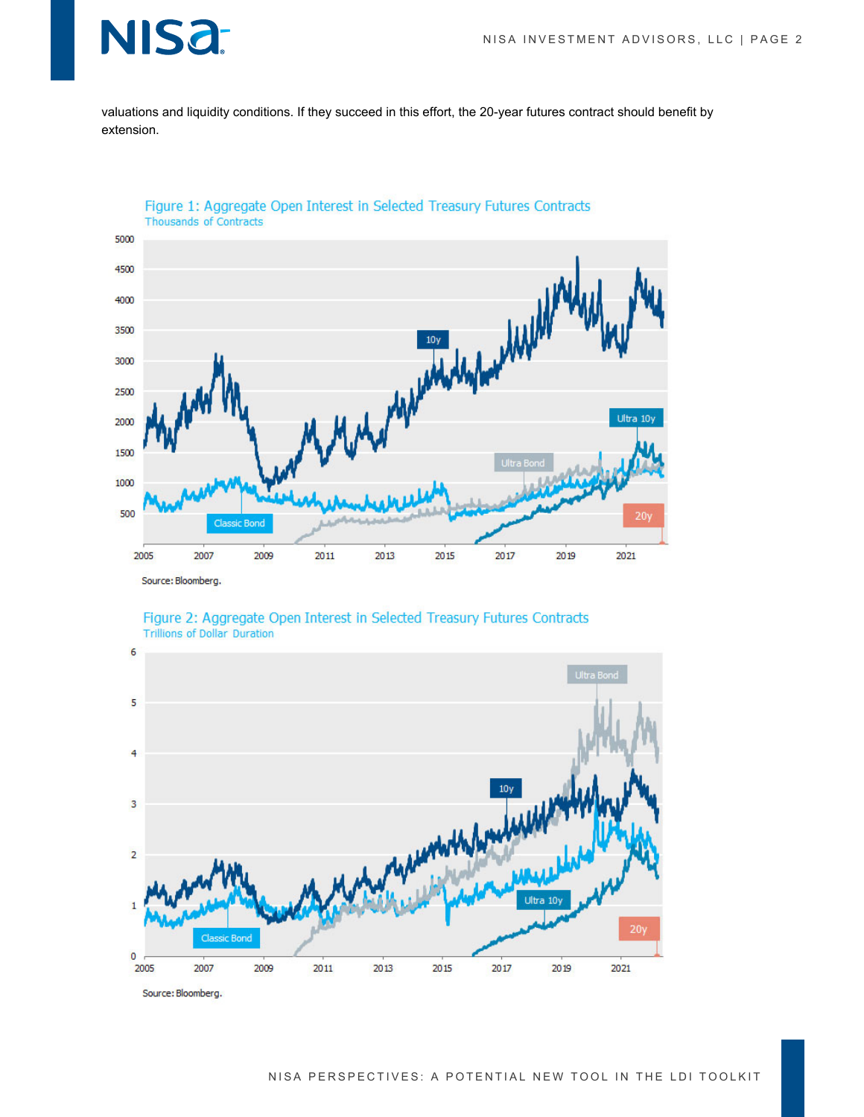## NIS<sub>a</sub>

valuations and liquidity conditions. If they succeed in this effort, the 20-year futures contract should benefit by extension.



Figure 1: Aggregate Open Interest in Selected Treasury Futures Contracts Thousands of Contracts